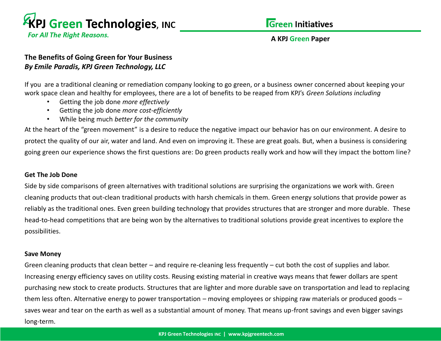

**For All The Right Reasons.** 

## **A KPJ Green Paper**

# **The Benefits of Going Green for Your Business** *By Emile Paradis, KPJ Green Technology, LLC*

If you are a traditional cleaning or remediation company looking to go green, or a business owner concerned about keeping your work space clean and healthy for employees, there are a lot of benefits to be reaped from KPJ's *Green Solutions including*

- Getting the job done *more effectively*
- Getting the job done *more cost-efficiently*
- While being much *better for the community*

At the heart of the "green movement" is a desire to reduce the negative impact our behavior has on our environment. A desire to protect the quality of our air, water and land. And even on improving it. These are great goals. But, when a business is considering going green our experience shows the first questions are: Do green products really work and how will they impact the bottom line?

### **Get The Job Done**

Side by side comparisons of green alternatives with traditional solutions are surprising the organizations we work with. Green cleaning products that out-clean traditional products with harsh chemicals in them. Green energy solutions that provide power as reliably as the traditional ones. Even green building technology that provides structures that are stronger and more durable. These head-to-head competitions that are being won by the alternatives to traditional solutions provide great incentives to explore the possibilities.

#### **Save Money**

Green cleaning products that clean better – and require re-cleaning less frequently – cut both the cost of supplies and labor. Increasing energy efficiency saves on utility costs. Reusing existing material in creative ways means that fewer dollars are spent purchasing new stock to create products. Structures that are lighter and more durable save on transportation and lead to replacing them less often. Alternative energy to power transportation – moving employees or shipping raw materials or produced goods – saves wear and tear on the earth as well as a substantial amount of money. That means up-front savings and even bigger savings long-term.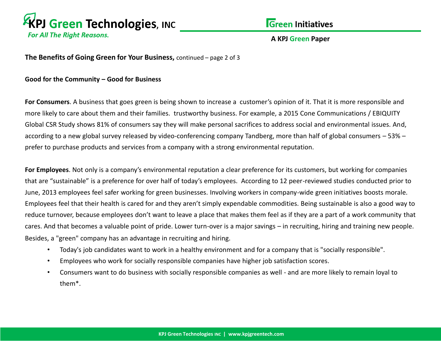

## **A KPJ Green Paper**

**The Benefits of Going Green for Your Business,** continued – page 2 of 3

**Good for the Community – Good for Business** 

**For Consumers**. A business that goes green is being shown to increase a customer's opinion of it. That it is more responsible and more likely to care about them and their families. trustworthy business. For example, a 2015 Cone Communications / EBIQUITY Global CSR Study shows 81% of consumers say they will make personal sacrifices to address social and environmental issues. And, according to a new global survey released by video-conferencing company Tandberg, more than half of global consumers – 53% – prefer to purchase products and services from a company with a strong environmental reputation.

**For Employees**. Not only is a company's environmental reputation a clear preference for its customers, but working for companies that are "sustainable" is a preference for over half of today's employees. According to 12 peer-reviewed studies conducted prior to June, 2013 employees feel safer working for green businesses. Involving workers in company-wide green initiatives boosts morale. Employees feel that their health is cared for and they aren't simply expendable commodities. Being sustainable is also a good way to reduce turnover, because employees don't want to leave a place that makes them feel as if they are a part of a work community that cares. And that becomes a valuable point of pride. Lower turn-over is a major savings – in recruiting, hiring and training new people. Besides, a "green" company has an advantage in recruiting and hiring.

- Today's job candidates want to work in a healthy environment and for a company that is "socially responsible".
- Employees who work for socially responsible companies have higher job satisfaction scores.
- Consumers want to do business with socially responsible companies as well and are more likely to remain loyal to them\*.